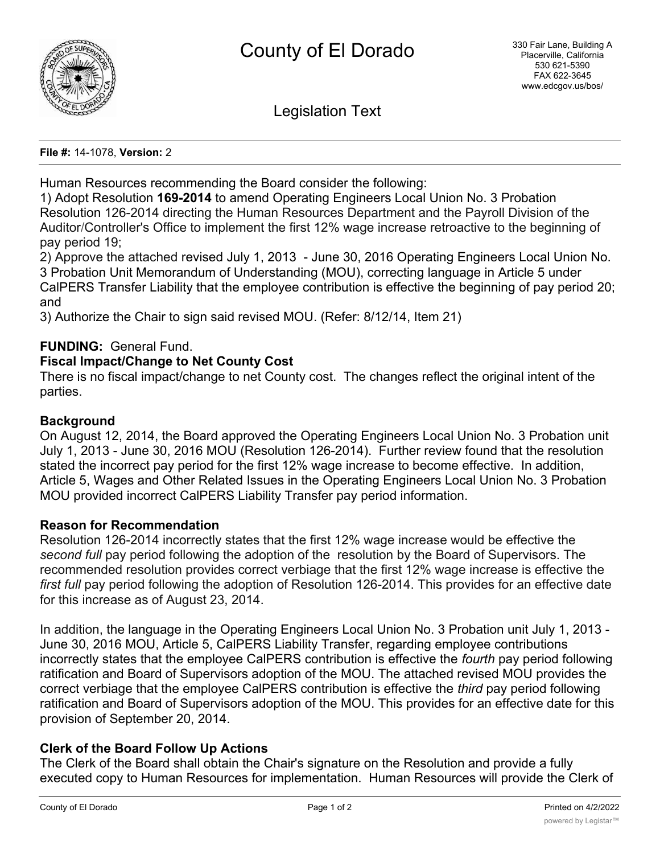

Legislation Text

**File #:** 14-1078, **Version:** 2

Human Resources recommending the Board consider the following:

1) Adopt Resolution **169-2014** to amend Operating Engineers Local Union No. 3 Probation Resolution 126-2014 directing the Human Resources Department and the Payroll Division of the Auditor/Controller's Office to implement the first 12% wage increase retroactive to the beginning of pay period 19;

2) Approve the attached revised July 1, 2013 - June 30, 2016 Operating Engineers Local Union No. 3 Probation Unit Memorandum of Understanding (MOU), correcting language in Article 5 under CalPERS Transfer Liability that the employee contribution is effective the beginning of pay period 20; and

3) Authorize the Chair to sign said revised MOU. (Refer: 8/12/14, Item 21)

# **FUNDING:** General Fund.

## **Fiscal Impact/Change to Net County Cost**

There is no fiscal impact/change to net County cost. The changes reflect the original intent of the parties.

## **Background**

On August 12, 2014, the Board approved the Operating Engineers Local Union No. 3 Probation unit July 1, 2013 - June 30, 2016 MOU (Resolution 126-2014). Further review found that the resolution stated the incorrect pay period for the first 12% wage increase to become effective. In addition, Article 5, Wages and Other Related Issues in the Operating Engineers Local Union No. 3 Probation MOU provided incorrect CalPERS Liability Transfer pay period information.

#### **Reason for Recommendation**

Resolution 126-2014 incorrectly states that the first 12% wage increase would be effective the *second full* pay period following the adoption of the resolution by the Board of Supervisors. The recommended resolution provides correct verbiage that the first 12% wage increase is effective the *first full* pay period following the adoption of Resolution 126-2014. This provides for an effective date for this increase as of August 23, 2014.

In addition, the language in the Operating Engineers Local Union No. 3 Probation unit July 1, 2013 - June 30, 2016 MOU, Article 5, CalPERS Liability Transfer, regarding employee contributions incorrectly states that the employee CalPERS contribution is effective the *fourth* pay period following ratification and Board of Supervisors adoption of the MOU. The attached revised MOU provides the correct verbiage that the employee CalPERS contribution is effective the *third* pay period following ratification and Board of Supervisors adoption of the MOU. This provides for an effective date for this provision of September 20, 2014.

#### **Clerk of the Board Follow Up Actions**

The Clerk of the Board shall obtain the Chair's signature on the Resolution and provide a fully executed copy to Human Resources for implementation. Human Resources will provide the Clerk of